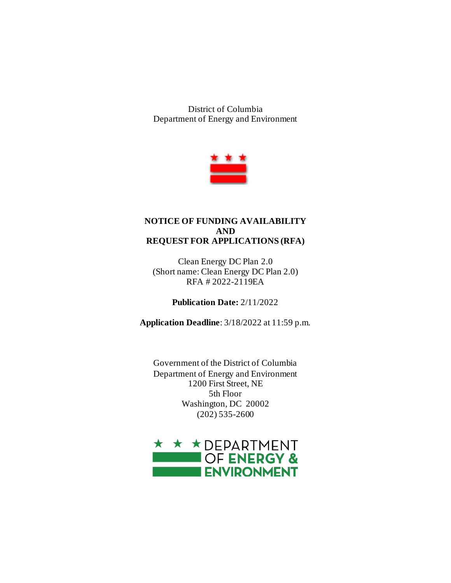District of Columbia Department of Energy and Environment



#### **NOTICE OF FUNDING AVAILABILITY AND REQUEST FOR APPLICATIONS (RFA)**

Clean Energy DC Plan 2.0 (Short name: Clean Energy DC Plan 2.0) RFA # 2022-2119EA

**Publication Date:** 2/11/2022

**Application Deadline**: 3/18/2022 at 11:59 p.m.

Government of the District of Columbia Department of Energy and Environment 1200 First Street, NE 5th Floor Washington, DC 20002 (202) 535-2600

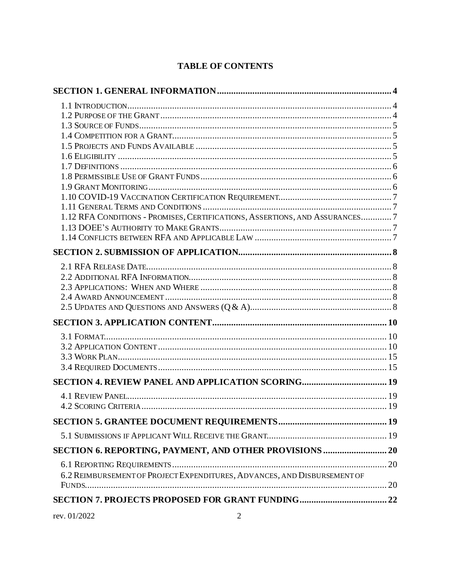## **TABLE OF CONTENTS**

| 1.12 RFA CONDITIONS - PROMISES, CERTIFICATIONS, ASSERTIONS, AND ASSURANCES7 |  |
|-----------------------------------------------------------------------------|--|
|                                                                             |  |
|                                                                             |  |
|                                                                             |  |
|                                                                             |  |
|                                                                             |  |
|                                                                             |  |
|                                                                             |  |
|                                                                             |  |
|                                                                             |  |
|                                                                             |  |
|                                                                             |  |
|                                                                             |  |
|                                                                             |  |
| SECTION 4. REVIEW PANEL AND APPLICATION SCORING 19                          |  |
|                                                                             |  |
|                                                                             |  |
|                                                                             |  |
|                                                                             |  |
| SECTION 6. REPORTING, PAYMENT, AND OTHER PROVISIONS  20                     |  |
|                                                                             |  |
|                                                                             |  |
| 6.2 REIMBURSEMENT OF PROJECT EXPENDITURES, ADVANCES, AND DISBURSEMENT OF    |  |
|                                                                             |  |
|                                                                             |  |

rev. 01/2022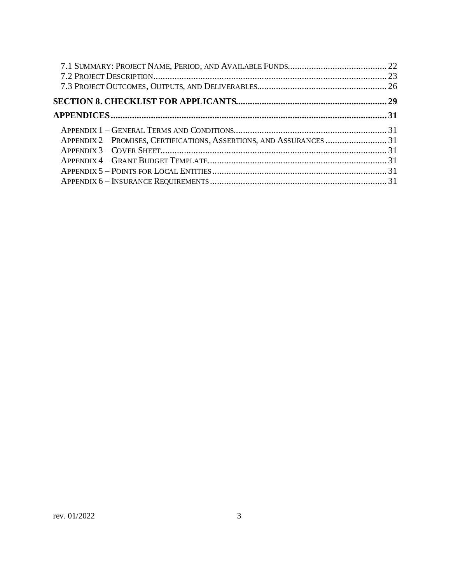| APPENDIX 2 - PROMISES, CERTIFICATIONS, ASSERTIONS, AND ASSURANCES 31 |  |
|----------------------------------------------------------------------|--|
|                                                                      |  |
|                                                                      |  |
|                                                                      |  |
|                                                                      |  |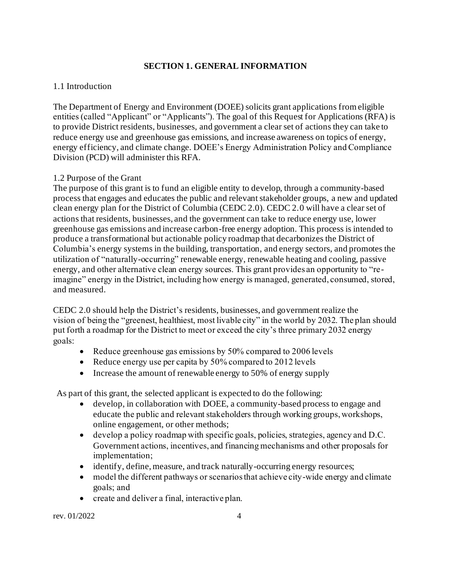## **SECTION 1. GENERAL INFORMATION**

## <span id="page-3-1"></span><span id="page-3-0"></span>1.1 Introduction

The Department of Energy and Environment (DOEE) solicits grant applications from eligible entities (called "Applicant" or "Applicants"). The goal of this Request for Applications (RFA) is to provide District residents, businesses, and government a clear set of actions they can take to reduce energy use and greenhouse gas emissions, and increase awareness on topics of energy, energy efficiency, and climate change. DOEE's Energy Administration Policy and Compliance Division (PCD) will administer this RFA.

## <span id="page-3-2"></span>1.2 Purpose of the Grant

The purpose of this grant is to fund an eligible entity to develop, through a community-based process that engages and educates the public and relevant stakeholder groups, a new and updated clean energy plan for the District of Columbia (CEDC 2.0). CEDC 2.0 will have a clear set of actions that residents, businesses, and the government can take to reduce energy use, lower greenhouse gas emissions and increase carbon-free energy adoption. This process is intended to produce a transformational but actionable policy roadmap that decarbonizes the District of Columbia's energy systems in the building, transportation, and energy sectors, and promotes the utilization of "naturally-occurring" renewable energy, renewable heating and cooling, passive energy, and other alternative clean energy sources. This grant provides an opportunity to "reimagine" energy in the District, including how energy is managed, generated, consumed, stored, and measured.

CEDC 2.0 should help the District's residents, businesses, and government realize the vision of being the "greenest, healthiest, most livable city" in the world by 2032. The plan should put forth a roadmap for the District to meet or exceed the city's three primary 2032 energy goals:  

- Reduce greenhouse gas emissions by 50% compared to 2006 levels
- Reduce energy use per capita by 50% compared to 2012 levels
- Increase the amount of renewable energy to 50% of energy supply

  As part of this grant, the selected applicant is expected to do the following:

- develop, in collaboration with DOEE, a community-based process to engage and educate the public and relevant stakeholders through working groups, workshops, online engagement, or other methods;
- develop a policy roadmap with specific goals, policies, strategies, agency and D.C. Government actions, incentives, and financing mechanisms and other proposals for implementation;
- identify, define, measure, and track naturally-occurring energy resources;
- model the different pathways or scenarios that achieve city-wide energy and climate goals; and
- create and deliver a final, interactive plan.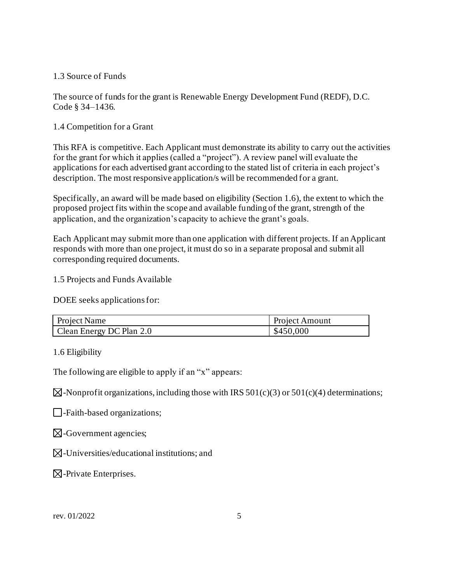#### <span id="page-4-0"></span>1.3 Source of Funds

The source of funds for the grant is Renewable Energy Development Fund (REDF), D.C. Code § 34–1436.

## <span id="page-4-1"></span>1.4 Competition for a Grant

This RFA is competitive. Each Applicant must demonstrate its ability to carry out the activities for the grant for which it applies (called a "project"). A review panel will evaluate the applications for each advertised grant according to the stated list of criteria in each project's description. The most responsive application/s will be recommended for a grant.

Specifically, an award will be made based on eligibility (Section 1.6), the extent to which the proposed project fits within the scope and available funding of the grant, strength of the application, and the organization's capacity to achieve the grant's goals.

Each Applicant may submit more than one application with different projects. If an Applicant responds with more than one project, it must do so in a separate proposal and submit all corresponding required documents.

<span id="page-4-2"></span>1.5 Projects and Funds Available

DOEE seeks applications for:

| Project Name             | <b>Project Amount</b> |
|--------------------------|-----------------------|
| Clean Energy DC Plan 2.0 | \$450,000             |

<span id="page-4-3"></span>1.6 Eligibility

The following are eligible to apply if an "x" appears:

 $\boxtimes$ -Nonprofit organizations, including those with IRS 501(c)(3) or 501(c)(4) determinations;

-Faith-based organizations;

- $\boxtimes$ -Government agencies;
- $\boxtimes$ -Universities/educational institutions; and

 $\boxtimes$ -Private Enterprises.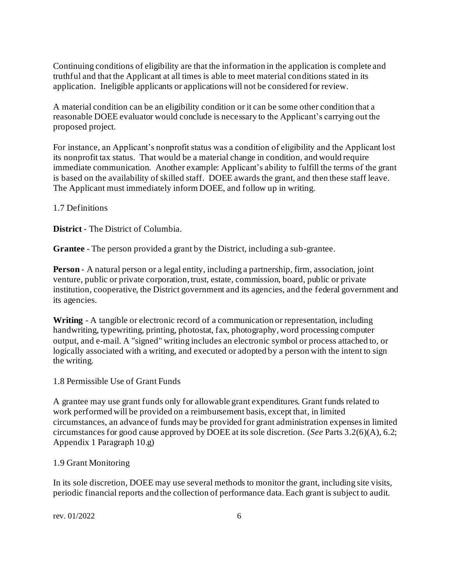Continuing conditions of eligibility are that the information in the application is complete and truthful and that the Applicant at all times is able to meet material conditions stated in its application. Ineligible applicants or applications will not be considered for review.

A material condition can be an eligibility condition or it can be some other condition that a reasonable DOEE evaluator would conclude is necessary to the Applicant's carrying out the proposed project.

For instance, an Applicant's nonprofit status was a condition of eligibility and the Applicant lost its nonprofit tax status. That would be a material change in condition, and would require immediate communication. Another example: Applicant's ability to fulfill the terms of the grant is based on the availability of skilled staff. DOEE awards the grant, and then these staff leave. The Applicant must immediately inform DOEE, and follow up in writing.

#### <span id="page-5-0"></span>1.7 Definitions

**District** - The District of Columbia.

**Grantee** - The person provided a grant by the District, including a sub-grantee.

**Person** - A natural person or a legal entity, including a partnership, firm, association, joint venture, public or private corporation, trust, estate, commission, board, public or private institution, cooperative, the District government and its agencies, and the federal government and its agencies.

**Writing** - A tangible or electronic record of a communication or representation, including handwriting, typewriting, printing, photostat, fax, photography, word processing computer output, and e-mail. A "signed" writing includes an electronic symbol or process attached to, or logically associated with a writing, and executed or adopted by a person with the intent to sign the writing.

<span id="page-5-1"></span>1.8 Permissible Use of Grant Funds

A grantee may use grant funds only for allowable grant expenditures. Grant funds related to work performed will be provided on a reimbursement basis, except that, in limited circumstances, an advance of funds may be provided for grant administration expenses in limited circumstances for good cause approved by DOEE at its sole discretion. (*See* Parts 3.2(6)(A), 6.2; Appendix 1 Paragraph 10.g)

## <span id="page-5-2"></span>1.9 Grant Monitoring

In its sole discretion, DOEE may use several methods to monitor the grant, including site visits, periodic financial reports and the collection of performance data. Each grant is subject to audit.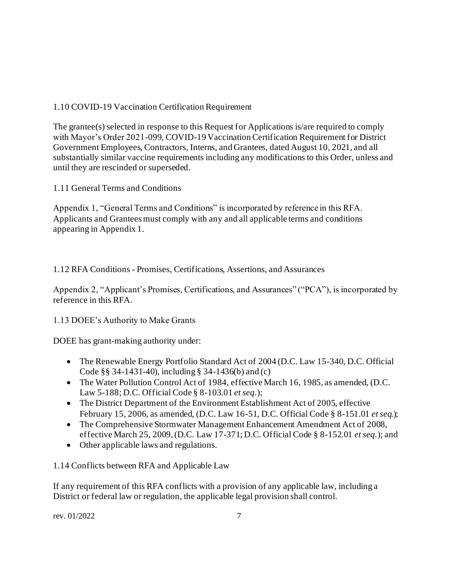## <span id="page-6-0"></span>1.10 COVID-19 Vaccination Certification Requirement

The grantee(s) selected in response to this Request for Applications is/are required to comply with Mayor's Order 2021-099, COVID-19 Vaccination Certification Requirement for District Government Employees, Contractors, Interns, and Grantees, dated August 10, 2021, and all substantially similar vaccine requirements including any modifications to this Order, unless and until they are rescinded or superseded.

<span id="page-6-1"></span>1.11 General Terms and Conditions

Appendix 1, "General Terms and Conditions" is incorporated by reference in this RFA. Applicants and Grantees must comply with any and all applicable terms and conditions appearing in Appendix 1.

<span id="page-6-2"></span>1.12 RFA Conditions - Promises, Certifications, Assertions, and Assurances

Appendix 2, "Applicant's Promises, Certifications, and Assurances" ("PCA"), is incorporated by reference in this RFA.

<span id="page-6-3"></span>1.13 DOEE's Authority to Make Grants

DOEE has grant-making authority under:

- The Renewable Energy Portfolio Standard Act of 2004 (D.C. Law 15-340, D.C. Official Code §§ 34-1431-40), including § 34-1436(b) and (c)
- The Water Pollution Control Act of 1984, effective March 16, 1985, as amended, (D.C. Law 5-188; D.C. Official Code § 8-103.01 *et seq.*);
- The District Department of the Environment Establishment Act of 2005, effective February 15, 2006, as amended, (D.C. Law 16-51, D.C. Official Code § 8-151.01 *et seq.*);
- The Comprehensive Stormwater Management Enhancement Amendment Act of 2008, effective March 25, 2009, (D.C. Law 17-371; D.C. Official Code § 8-152.01 *et seq.*); and
- Other applicable laws and regulations.

<span id="page-6-4"></span>1.14 Conflicts between RFA and Applicable Law

If any requirement of this RFA conflicts with a provision of any applicable law, including a District or federal law or regulation, the applicable legal provision shall control.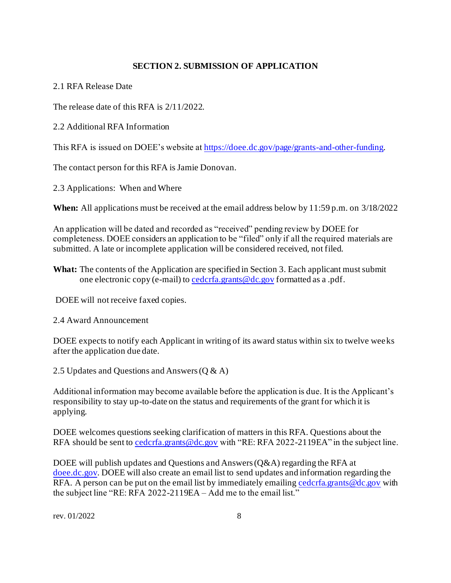#### **SECTION 2. SUBMISSION OF APPLICATION**

<span id="page-7-1"></span><span id="page-7-0"></span>2.1 RFA Release Date

The release date of this RFA is 2/11/2022.

<span id="page-7-2"></span>2.2 Additional RFA Information

This RFA is issued on DOEE's website a[t https://doee.dc.gov/page/grants-and-other-funding](https://doee.dc.gov/page/grants-and-other-funding).

The contact person for this RFA is Jamie Donovan.

<span id="page-7-3"></span>2.3 Applications: When and Where

**When:** All applications must be received at the email address below by 11:59 p.m. on 3/18/2022

An application will be dated and recorded as "received" pending review by DOEE for completeness. DOEE considers an application to be "filed" only if all the required materials are submitted. A late or incomplete application will be considered received, not filed.

**What:** The contents of the Application are specified in Section 3. Each applicant must submit one electronic copy (e-mail) t[o cedcrfa.grants@dc.gov](file:///C:/Users/pamela.weinberg/Downloads/cedcrfa.grants@dc.gov) formatted as a .pdf.

DOEE will not receive faxed copies.

<span id="page-7-4"></span>2.4 Award Announcement

DOEE expects to notify each Applicant in writing of its award status within six to twelve weeks after the application due date.

<span id="page-7-5"></span>2.5 Updates and Questions and Answers (Q & A)

Additional information may become available before the application is due. It is the Applicant's responsibility to stay up-to-date on the status and requirements of the grant for which it is applying.

DOEE welcomes questions seeking clarification of matters in this RFA. Questions about the RFA should be sent t[o cedcrfa.grants@dc.gov](file:///C:/Users/pamela.weinberg/Downloads/cedcrfa.grants@dc.gov) with "RE: RFA 2022-2119EA" in the subject line.

DOEE will publish updates and Questions and Answers (Q&A) regarding the RFA at [doee.dc.gov](http://doee.dc.gov/). DOEE will also create an email list to send updates and information regarding the RFA. A person can be put on the email list by immediately emailing cederfa.grants@dc.gov with the subject line "RE: RFA 2022-2119EA - Add me to the email list."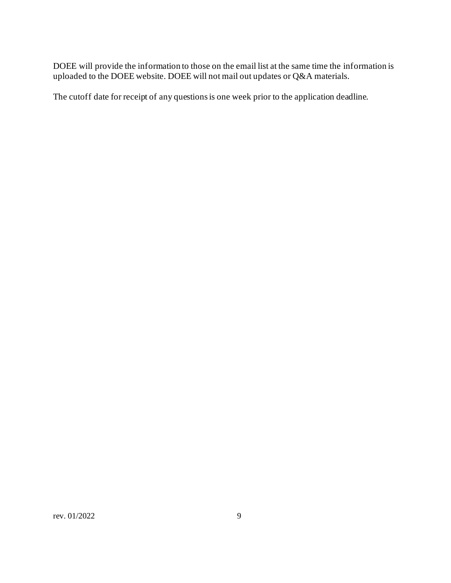DOEE will provide the information to those on the email list at the same time the information is uploaded to the DOEE website. DOEE will not mail out updates or Q&A materials.

The cutoff date for receipt of any questions is one week prior to the application deadline.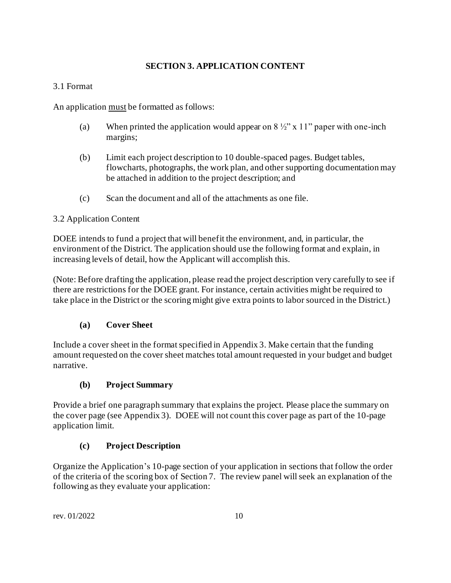## **SECTION 3. APPLICATION CONTENT**

## <span id="page-9-1"></span><span id="page-9-0"></span>3.1 Format

An application must be formatted as follows:

- (a) When printed the application would appear on  $8\frac{1}{2}$ " x 11" paper with one-inch margins;
- (b) Limit each project description to 10 double-spaced pages. Budget tables, flowcharts, photographs, the work plan, and other supporting documentation may be attached in addition to the project description; and
- (c) Scan the document and all of the attachments as one file.

## <span id="page-9-2"></span>3.2 Application Content

DOEE intends to fund a project that will benefit the environment, and, in particular, the environment of the District. The application should use the following format and explain, in increasing levels of detail, how the Applicant will accomplish this.

(Note: Before drafting the application, please read the project description very carefully to see if there are restrictions for the DOEE grant. For instance, certain activities might be required to take place in the District or the scoring might give extra points to labor sourced in the District.)

## **(a) Cover Sheet**

Include a cover sheet in the format specified in Appendix 3. Make certain that the funding amount requested on the cover sheet matches total amount requested in your budget and budget narrative.

## **(b) Project Summary**

Provide a brief one paragraph summary that explains the project. Please place the summary on the cover page (see Appendix 3). DOEE will not count this cover page as part of the 10-page application limit.

## **(c) Project Description**

Organize the Application's 10-page section of your application in sections that follow the order of the criteria of the scoring box of Section 7. The review panel will seek an explanation of the following as they evaluate your application: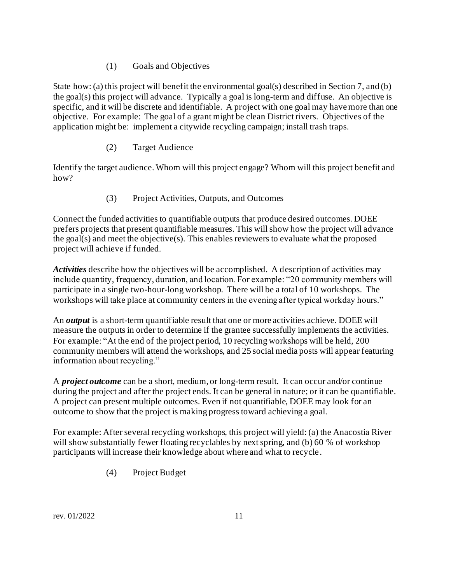## (1) Goals and Objectives

State how: (a) this project will benefit the environmental goal(s) described in Section 7, and (b) the goal(s) this project will advance. Typically a goal is long-term and diffuse. An objective is specific, and it will be discrete and identifiable. A project with one goal may have more than one objective. For example: The goal of a grant might be clean District rivers. Objectives of the application might be: implement a citywide recycling campaign; install trash traps.

## (2) Target Audience

Identify the target audience. Whom will this project engage? Whom will this project benefit and how?

## (3) Project Activities, Outputs, and Outcomes

Connect the funded activities to quantifiable outputs that produce desired outcomes. DOEE prefers projects that present quantifiable measures. This will show how the project will advance the goal(s) and meet the objective(s). This enables reviewers to evaluate what the proposed project will achieve if funded.

*Activities* describe how the objectives will be accomplished. A description of activities may include quantity, frequency, duration, and location. For example: "20 community members will participate in a single two-hour-long workshop. There will be a total of 10 workshops. The workshops will take place at community centers in the evening after typical workday hours."

An *output* is a short-term quantifiable result that one or more activities achieve. DOEE will measure the outputs in order to determine if the grantee successfully implements the activities. For example: "At the end of the project period, 10 recycling workshops will be held, 200 community members will attend the workshops, and 25 social media posts will appear featuring information about recycling."

A *project outcome* can be a short, medium, or long-term result. It can occur and/or continue during the project and after the project ends. It can be general in nature; or it can be quantifiable. A project can present multiple outcomes. Even if not quantifiable, DOEE may look for an outcome to show that the project is making progress toward achieving a goal.

For example: After several recycling workshops, this project will yield: (a) the Anacostia River will show substantially fewer floating recyclables by next spring, and (b) 60 % of workshop participants will increase their knowledge about where and what to recycle.

(4) Project Budget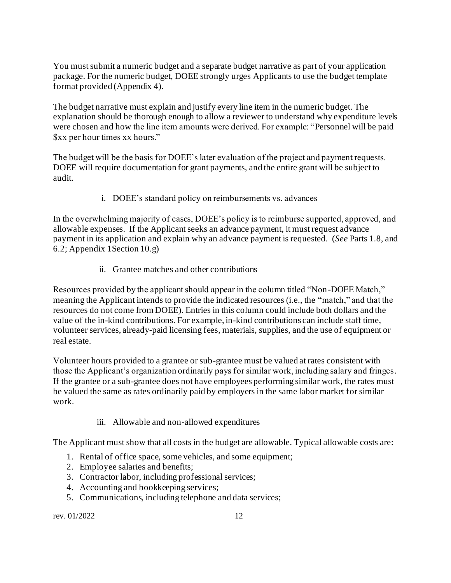You must submit a numeric budget and a separate budget narrative as part of your application package. For the numeric budget, DOEE strongly urges Applicants to use the budget template format provided (Appendix 4).

The budget narrative must explain and justify every line item in the numeric budget. The explanation should be thorough enough to allow a reviewer to understand why expenditure levels were chosen and how the line item amounts were derived. For example: "Personnel will be paid \$xx per hour times xx hours."

The budget will be the basis for DOEE's later evaluation of the project and payment requests. DOEE will require documentation for grant payments, and the entire grant will be subject to audit.

i. DOEE's standard policy on reimbursements vs. advances

In the overwhelming majority of cases, DOEE's policy is to reimburse supported, approved, and allowable expenses. If the Applicant seeks an advance payment, it must request advance payment in its application and explain why an advance payment is requested. (*See* Parts 1.8, and 6.2; Appendix 1Section 10.g)

ii. Grantee matches and other contributions

Resources provided by the applicant should appear in the column titled "Non-DOEE Match," meaning the Applicant intends to provide the indicated resources (i.e., the "match," and that the resources do not come from DOEE). Entries in this column could include both dollars and the value of the in-kind contributions. For example, in-kind contributions can include staff time, volunteer services, already-paid licensing fees, materials, supplies, and the use of equipment or real estate.

Volunteer hours provided to a grantee or sub-grantee must be valued at rates consistent with those the Applicant's organization ordinarily pays for similar work, including salary and fringes. If the grantee or a sub-grantee does not have employees performing similar work, the rates must be valued the same as rates ordinarily paid by employers in the same labor market for similar work.

iii. Allowable and non-allowed expenditures

The Applicant must show that all costs in the budget are allowable. Typical allowable costs are:

- 1. Rental of office space, some vehicles, and some equipment;
- 2. Employee salaries and benefits;
- 3. Contractor labor, including professional services;
- 4. Accounting and bookkeeping services;
- 5. Communications, including telephone and data services;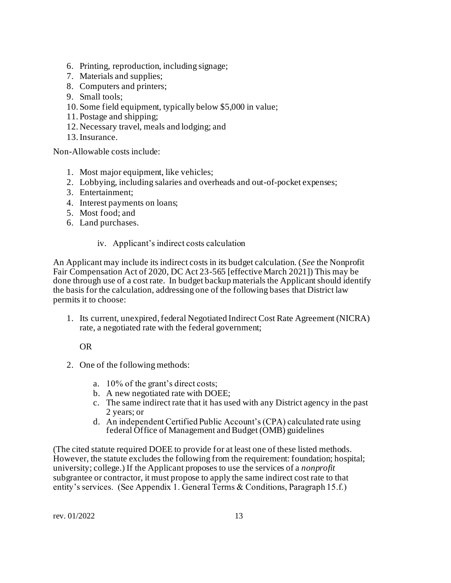- 6. Printing, reproduction, including signage;
- 7. Materials and supplies;
- 8. Computers and printers;
- 9. Small tools;
- 10. Some field equipment, typically below \$5,000 in value;
- 11. Postage and shipping;
- 12. Necessary travel, meals and lodging; and
- 13.Insurance.

Non-Allowable costs include:

- 1. Most major equipment, like vehicles;
- 2. Lobbying, including salaries and overheads and out-of-pocket expenses;
- 3. Entertainment;
- 4. Interest payments on loans;
- 5. Most food; and
- 6. Land purchases.

#### iv. Applicant's indirect costs calculation

An Applicant may include its indirect costs in its budget calculation. (*See* the Nonprofit Fair Compensation Act of 2020, DC Act 23-565 [effective March 2021]) This may be done through use of a cost rate. In budget backup materials the Applicant should identify the basis for the calculation, addressing one of the following bases that District law permits it to choose:

1. Its current, unexpired, federal Negotiated Indirect Cost Rate Agreement (NICRA) rate, a negotiated rate with the federal government;

OR

- 2. One of the following methods:
	- a. 10% of the grant's direct costs;
	- b. A new negotiated rate with DOEE;
	- c. The same indirect rate that it has used with any District agency in the past 2 years; or
	- d. An independent Certified Public Account's (CPA) calculated rate using federal Office of Management and Budget (OMB) guidelines

(The cited statute required DOEE to provide for at least one of these listed methods. However, the statute excludes the following from the requirement: foundation; hospital; university; college.) If the Applicant proposes to use the services of a *nonprofit* subgrantee or contractor, it must propose to apply the same indirect cost rate to that entity's services. (See Appendix 1. General Terms & Conditions, Paragraph 15.f.)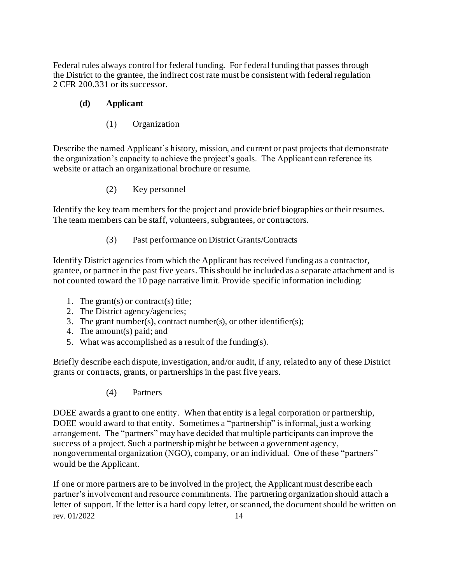Federal rules always control for federal funding. For federal funding that passes through the District to the grantee, the indirect cost rate must be consistent with federal regulation 2 CFR 200.331 or its successor.

## **(d) Applicant**

(1) Organization

Describe the named Applicant's history, mission, and current or past projects that demonstrate the organization's capacity to achieve the project's goals. The Applicant can reference its website or attach an organizational brochure or resume.

(2) Key personnel

Identify the key team members for the project and provide brief biographies or their resumes. The team members can be staff, volunteers, subgrantees, or contractors.

(3) Past performance on District Grants/Contracts

Identify District agencies from which the Applicant has received funding as a contractor, grantee, or partner in the past five years. This should be included as a separate attachment and is not counted toward the 10 page narrative limit. Provide specific information including:

- 1. The grant(s) or contract(s) title;
- 2. The District agency/agencies;
- 3. The grant number(s), contract number(s), or other identifier(s);
- 4. The amount(s) paid; and
- 5. What was accomplished as a result of the funding(s).

Briefly describe each dispute, investigation, and/or audit, if any, related to any of these District grants or contracts, grants, or partnerships in the past five years.

(4) Partners

DOEE awards a grant to one entity. When that entity is a legal corporation or partnership, DOEE would award to that entity. Sometimes a "partnership" is informal, just a working arrangement. The "partners" may have decided that multiple participants can improve the success of a project. Such a partnership might be between a government agency, nongovernmental organization (NGO), company, or an individual. One of these "partners" would be the Applicant.

rev. 01/2022 14 If one or more partners are to be involved in the project, the Applicant must describe each partner's involvement and resource commitments. The partnering organization should attach a letter of support. If the letter is a hard copy letter, or scanned, the document should be written on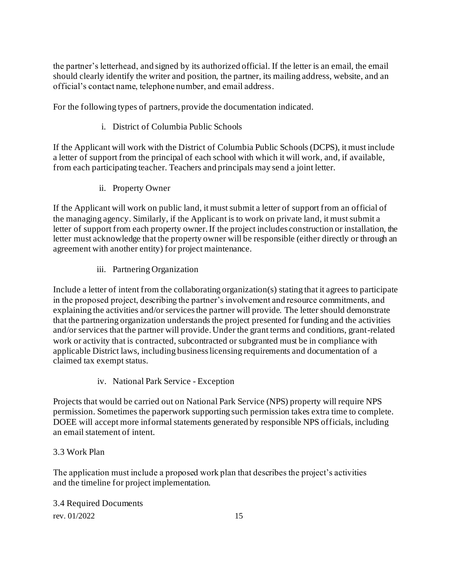the partner's letterhead, and signed by its authorized official. If the letter is an email, the email should clearly identify the writer and position, the partner, its mailing address, website, and an official's contact name, telephone number, and email address.

For the following types of partners, provide the documentation indicated.

## i. District of Columbia Public Schools

If the Applicant will work with the District of Columbia Public Schools (DCPS), it must include a letter of support from the principal of each school with which it will work, and, if available, from each participating teacher. Teachers and principals may send a joint letter.

ii. Property Owner

If the Applicant will work on public land, it must submit a letter of support from an official of the managing agency. Similarly, if the Applicant is to work on private land, it must submit a letter of support from each property owner. If the project includes construction or installation, the letter must acknowledge that the property owner will be responsible (either directly or through an agreement with another entity) for project maintenance.

iii. Partnering Organization

Include a letter of intent from the collaborating organization(s) stating that it agrees to participate in the proposed project, describing the partner's involvement and resource commitments, and explaining the activities and/or services the partner will provide. The letter should demonstrate that the partnering organization understands the project presented for funding and the activities and/or services that the partner will provide. Under the grant terms and conditions, grant-related work or activity that is contracted, subcontracted or subgranted must be in compliance with applicable District laws, including business licensing requirements and documentation of a claimed tax exempt status.

iv. National Park Service - Exception

Projects that would be carried out on National Park Service (NPS) property will require NPS permission. Sometimes the paperwork supporting such permission takes extra time to complete. DOEE will accept more informal statements generated by responsible NPS officials, including an email statement of intent.

## <span id="page-14-0"></span>3.3 Work Plan

The application must include a proposed work plan that describes the project's activities and the timeline for project implementation.

<span id="page-14-1"></span>rev. 01/2022 15 3.4 Required Documents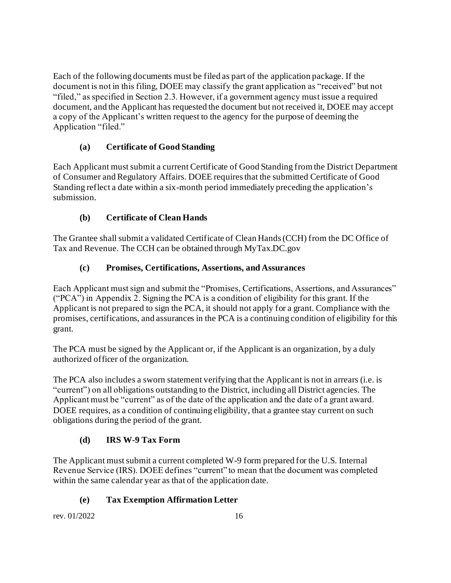Each of the following documents must be filed as part of the application package. If the document is not in this filing, DOEE may classify the grant application as "received" but not "filed," as specified in Section 2.3. However, if a government agency must issue a required document, and the Applicant has requested the document but not received it, DOEE may accept a copy of the Applicant's written request to the agency for the purpose of deeming the Application "filed."

## **(a) Certificate of Good Standing**

Each Applicant must submit a current Certificate of Good Standing from the District Department of Consumer and Regulatory Affairs. DOEE requires that the submitted Certificate of Good Standing reflect a date within a six-month period immediately preceding the application's submission.

## **(b) Certificate of Clean Hands**

The Grantee shall submit a validated Certificate of Clean Hands (CCH) from the DC Office of Tax and Revenue. The CCH can be obtained through MyTax.DC.gov

## **(c) Promises, Certifications, Assertions, and Assurances**

Each Applicant must sign and submit the "Promises, Certifications, Assertions, and Assurances" ("PCA") in Appendix 2. Signing the PCA is a condition of eligibility for this grant. If the Applicant is not prepared to sign the PCA, it should not apply for a grant. Compliance with the promises, certifications, and assurances in the PCA is a continuing condition of eligibility for this grant.

The PCA must be signed by the Applicant or, if the Applicant is an organization, by a duly authorized officer of the organization.

The PCA also includes a sworn statement verifying that the Applicant is not in arrears (i.e. is "current") on all obligations outstanding to the District, including all District agencies. The Applicant must be "current" as of the date of the application and the date of a grant award. DOEE requires, as a condition of continuing eligibility, that a grantee stay current on such obligations during the period of the grant.

## **(d) IRS W-9 Tax Form**

The Applicant must submit a current completed W-9 form prepared for the U.S. Internal Revenue Service (IRS). DOEE defines "current" to mean that the document was completed within the same calendar year as that of the application date.

## **(e) Tax Exemption Affirmation Letter**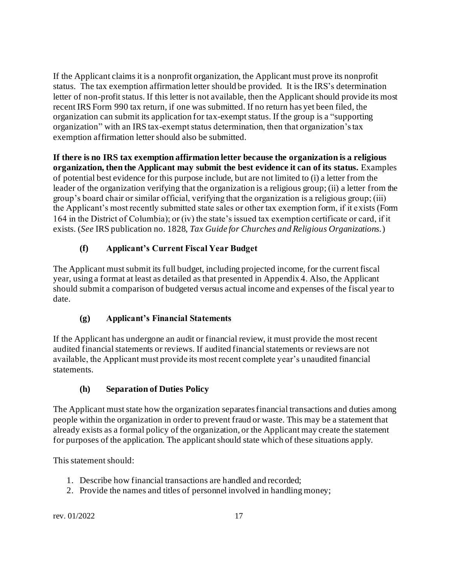If the Applicant claims it is a nonprofit organization, the Applicant must prove its nonprofit status. The tax exemption affirmation letter should be provided. It is the IRS's determination letter of non-profit status. If this letter is not available, then the Applicant should provide its most recent IRS Form 990 tax return, if one was submitted. If no return has yet been filed, the organization can submit its application for tax-exempt status. If the group is a "supporting organization" with an IRS tax-exempt status determination, then that organization's tax exemption affirmation letter should also be submitted.

**If there is no IRS tax exemption affirmation letter because the organization is a religious organization, then the Applicant may submit the best evidence it can of its status.** Examples of potential best evidence for this purpose include, but are not limited to (i) a letter from the leader of the organization verifying that the organization is a religious group; (ii) a letter from the group's board chair or similar official, verifying that the organization is a religious group; (iii) the Applicant's most recently submitted state sales or other tax exemption form, if it exists (Form 164 in the District of Columbia); or (iv) the state's issued tax exemption certificate or card, if it exists. (*See* IRS publication no. 1828, *Tax Guide for Churches and Religious Organizations.*)

# **(f) Applicant's Current Fiscal Year Budget**

The Applicant must submit its full budget, including projected income, for the current fiscal year, using a format at least as detailed as that presented in Appendix 4. Also, the Applicant should submit a comparison of budgeted versus actual income and expenses of the fiscal year to date.

## **(g) Applicant's Financial Statements**

If the Applicant has undergone an audit or financial review, it must provide the most recent audited financial statements or reviews. If audited financial statements or reviews are not available, the Applicant must provide its most recent complete year's unaudited financial statements.

## **(h) Separation of Duties Policy**

The Applicant must state how the organization separates financial transactions and duties among people within the organization in order to prevent fraud or waste. This may be a statement that already exists as a formal policy of the organization, or the Applicant may create the statement for purposes of the application. The applicant should state which of these situations apply.

This statement should:

- 1. Describe how financial transactions are handled and recorded;
- 2. Provide the names and titles of personnel involved in handling money;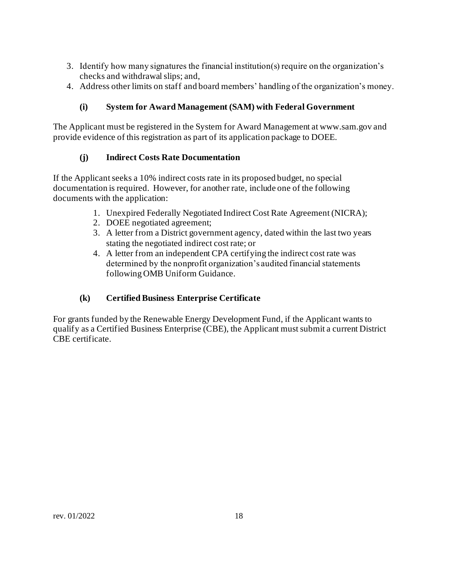- 3. Identify how many signatures the financial institution(s) require on the organization's checks and withdrawal slips; and,
- 4. Address other limits on staff and board members' handling of the organization's money.

## **(i) System for Award Management (SAM) with Federal Government**

The Applicant must be registered in the System for Award Management at www.sam.gov and provide evidence of this registration as part of its application package to DOEE.

## **(j) Indirect Costs Rate Documentation**

If the Applicant seeks a 10% indirect costs rate in its proposed budget, no special documentation is required. However, for another rate, include one of the following documents with the application:

- 1. Unexpired Federally Negotiated Indirect Cost Rate Agreement (NICRA);
- 2. DOEE negotiated agreement;
- 3. A letter from a District government agency, dated within the last two years stating the negotiated indirect cost rate; or
- 4. A letter from an independent CPA certifying the indirect cost rate was determined by the nonprofit organization's audited financial statements following OMB Uniform Guidance.

## **(k) Certified Business Enterprise Certificate**

For grants funded by the Renewable Energy Development Fund, if the Applicant wants to qualify as a Certified Business Enterprise (CBE), the Applicant must submit a current District CBE certificate.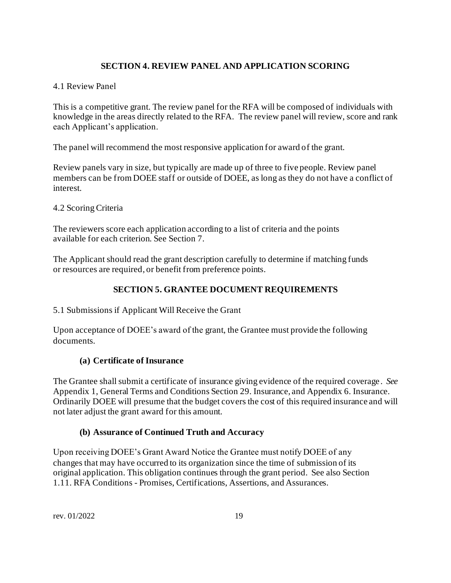## **SECTION 4. REVIEW PANEL AND APPLICATION SCORING**

## <span id="page-18-1"></span><span id="page-18-0"></span>4.1 Review Panel

This is a competitive grant. The review panel for the RFA will be composed of individuals with knowledge in the areas directly related to the RFA. The review panel will review, score and rank each Applicant's application.

The panel will recommend the most responsive application for award of the grant.

Review panels vary in size, but typically are made up of three to five people. Review panel members can be from DOEE staff or outside of DOEE, as long as they do not have a conflict of interest.

## <span id="page-18-2"></span>4.2 Scoring Criteria

The reviewers score each application according to a list of criteria and the points available for each criterion. See Section 7.

The Applicant should read the grant description carefully to determine if matching funds or resources are required, or benefit from preference points.

## **SECTION 5. GRANTEE DOCUMENT REQUIREMENTS**

<span id="page-18-4"></span><span id="page-18-3"></span>5.1 Submissions if Applicant Will Receive the Grant

Upon acceptance of DOEE's award of the grant, the Grantee must provide the following documents.

## **(a) Certificate of Insurance**

The Grantee shall submit a certificate of insurance giving evidence of the required coverage. *See* Appendix 1, General Terms and Conditions Section 29. Insurance, and Appendix 6. Insurance. Ordinarily DOEE will presume that the budget covers the cost of this required insurance and will not later adjust the grant award for this amount.

## **(b) Assurance of Continued Truth and Accuracy**

Upon receiving DOEE's Grant Award Notice the Grantee must notify DOEE of any changes that may have occurred to its organization since the time of submission of its original application. This obligation continues through the grant period. See also Section 1.11. RFA Conditions - Promises, Certifications, Assertions, and Assurances.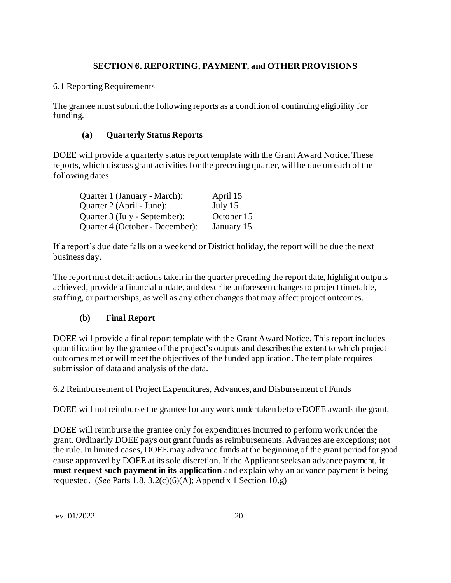## **SECTION 6. REPORTING, PAYMENT, and OTHER PROVISIONS**

## <span id="page-19-1"></span><span id="page-19-0"></span>6.1 Reporting Requirements

The grantee must submit the following reports as a condition of continuing eligibility for funding.

## **(a) Quarterly Status Reports**

DOEE will provide a quarterly status report template with the Grant Award Notice. These reports, which discuss grant activities for the preceding quarter, will be due on each of the following dates.

| Quarter 1 (January - March):    | April 15   |
|---------------------------------|------------|
| Quarter 2 (April - June):       | July $15$  |
| Quarter 3 (July - September):   | October 15 |
| Quarter 4 (October - December): | January 15 |

If a report's due date falls on a weekend or District holiday, the report will be due the next business day.

The report must detail: actions taken in the quarter preceding the report date, highlight outputs achieved, provide a financial update, and describe unforeseen changes to project timetable, staffing, or partnerships, as well as any other changes that may affect project outcomes.

## **(b) Final Report**

DOEE will provide a final report template with the Grant Award Notice. This report includes quantification by the grantee of the project's outputs and describes the extent to which project outcomes met or will meet the objectives of the funded application. The template requires submission of data and analysis of the data.

<span id="page-19-2"></span>6.2 Reimbursement of Project Expenditures, Advances, and Disbursement of Funds

DOEE will not reimburse the grantee for any work undertaken before DOEE awards the grant.

DOEE will reimburse the grantee only for expenditures incurred to perform work under the grant. Ordinarily DOEE pays out grant funds as reimbursements. Advances are exceptions; not the rule. In limited cases, DOEE may advance funds at the beginning of the grant period for good cause approved by DOEE at its sole discretion. If the Applicant seeks an advance payment, **it must request such payment in its application** and explain why an advance payment is being requested. (*See* Parts 1.8, 3.2(c)(6)(A); Appendix 1 Section 10.g)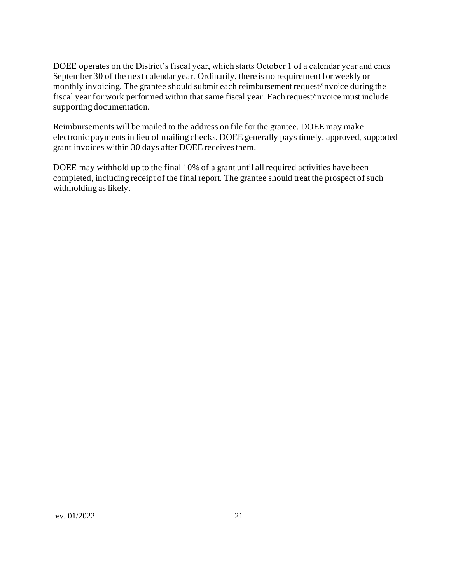DOEE operates on the District's fiscal year, which starts October 1 of a calendar year and ends September 30 of the next calendar year. Ordinarily, there is no requirement for weekly or monthly invoicing. The grantee should submit each reimbursement request/invoice during the fiscal year for work performed within that same fiscal year. Each request/invoice must include supporting documentation.

Reimbursements will be mailed to the address on file for the grantee. DOEE may make electronic payments in lieu of mailing checks. DOEE generally pays timely, approved, supported grant invoices within 30 days after DOEE receives them.

DOEE may withhold up to the final 10% of a grant until all required activities have been completed, including receipt of the final report. The grantee should treat the prospect of such withholding as likely.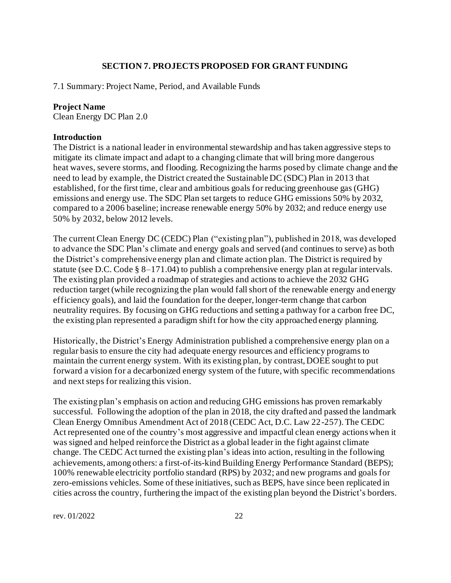#### **SECTION 7. PROJECTS PROPOSED FOR GRANT FUNDING**

<span id="page-21-1"></span><span id="page-21-0"></span>7.1 Summary: Project Name, Period, and Available Funds

#### **Project Name**

Clean Energy DC Plan 2.0

#### **Introduction**

The District is a national leader in environmental stewardship and has taken aggressive steps to mitigate its climate impact and adapt to a changing climate that will bring more dangerous heat waves, severe storms, and flooding. Recognizing the harms posed by climate change and the need to lead by example, the District created the Sustainable DC (SDC) Plan in 2013 that established, for the first time, clear and ambitious goals for reducing greenhouse gas (GHG) emissions and energy use. The SDC Plan set targets to reduce GHG emissions 50% by 2032, compared to a 2006 baseline; increase renewable energy 50% by 2032; and reduce energy use 50% by 2032, below 2012 levels.

The current Clean Energy DC (CEDC) Plan ("existing plan"), published in 2018, was developed to advance the SDC Plan's climate and energy goals and served (and continues to serve) as both the District's comprehensive energy plan and climate action plan. The District is required by statute (see D.C. Code § 8–171.04) to publish a comprehensive energy plan at regular intervals. The existing plan provided a roadmap of strategies and actions to achieve the 2032 GHG reduction target (while recognizing the plan would fall short of the renewable energy and energy efficiency goals), and laid the foundation for the deeper, longer-term change that carbon neutrality requires. By focusing on GHG reductions and setting a pathway for a carbon free DC, the existing plan represented a paradigm shift for how the city approached energy planning.

Historically, the District's Energy Administration published a comprehensive energy plan on a regular basis to ensure the city had adequate energy resources and efficiency programs to maintain the current energy system. With its existing plan, by contrast, DOEE sought to put forward a vision for a decarbonized energy system of the future, with specific recommendations and next steps for realizing this vision.

The existing plan's emphasis on action and reducing GHG emissions has proven remarkably successful. Following the adoption of the plan in 2018, the city drafted and passed the landmark Clean Energy Omnibus Amendment Act of 2018 (CEDC Act, D.C. Law 22-257). The CEDC Act represented one of the country's most aggressive and impactful clean energy actions when it was signed and helped reinforce the District as a global leader in the fight against climate change. The CEDC Act turned the existing plan's ideas into action, resulting in the following achievements, among others: a first-of-its-kind Building Energy Performance Standard (BEPS); 100% renewable electricity portfolio standard (RPS) by 2032; and new programs and goals for zero-emissions vehicles. Some of these initiatives, such as BEPS, have since been replicated in cities across the country, furthering the impact of the existing plan beyond the District's borders.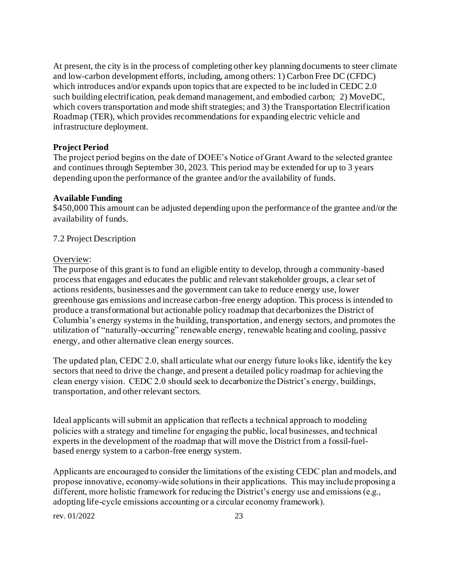At present, the city is in the process of completing other key planning documents to steer climate and low-carbon development efforts, including, among others: 1) Carbon Free DC (CFDC) which introduces and/or expands upon topics that are expected to be included in CEDC 2.0 such building electrification, peak demand management, and embodied carbon; 2) MoveDC, which covers transportation and mode shift strategies; and 3) the Transportation Electrification Roadmap (TER), which provides recommendations for expanding electric vehicle and infrastructure deployment.

#### **Project Period**

The project period begins on the date of DOEE's Notice of Grant Award to the selected grantee and continues through September 30, 2023. This period may be extended for up to 3 years depending upon the performance of the grantee and/or the availability of funds.

#### **Available Funding**

\$450,000 This amount can be adjusted depending upon the performance of the grantee and/or the availability of funds.

#### <span id="page-22-0"></span>7.2 Project Description

#### Overview:

The purpose of this grant is to fund an eligible entity to develop, through a community-based process that engages and educates the public and relevant stakeholder groups, a clear set of actions residents, businesses and the government can take to reduce energy use, lower greenhouse gas emissions and increase carbon-free energy adoption. This process is intended to produce a transformational but actionable policy roadmap that decarbonizes the District of Columbia's energy systems in the building, transportation, and energy sectors, and promotes the utilization of "naturally-occurring" renewable energy, renewable heating and cooling, passive energy, and other alternative clean energy sources.

The updated plan, CEDC 2.0, shall articulate what our energy future looks like, identify the key sectors that need to drive the change, and present a detailed policy roadmap for achieving the clean energy vision.  CEDC 2.0 should seek to decarbonize the District's energy, buildings, transportation, and other relevant sectors.

Ideal applicants will submit an application that reflects a technical approach to modeling policies with a strategy and timeline for engaging the public, local businesses, and technical experts in the development of the roadmap that will move the District from a fossil-fuelbased energy system to a carbon-free energy system.

Applicants are encouraged to consider the limitations of the existing CEDC plan and models, and propose innovative, economy-wide solutions in their applications.  This may include proposing a different, more holistic framework for reducing the District's energy use and emissions (e.g., adopting life-cycle emissions accounting or a circular economy framework).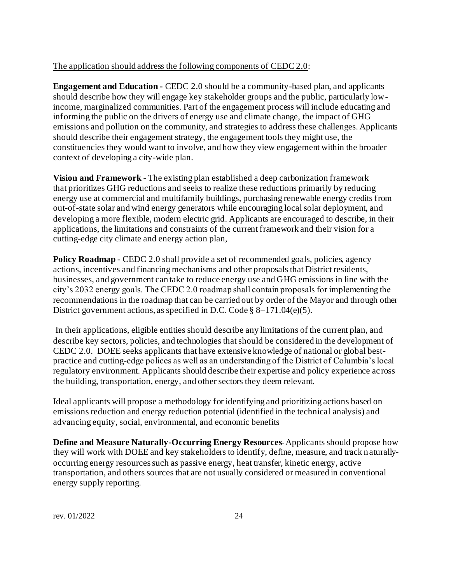#### The application should address the following components of CEDC 2.0:

**Engagement and Education -** CEDC 2.0 should be a community-based plan, and applicants should describe how they will engage key stakeholder groups and the public, particularly lowincome, marginalized communities. Part of the engagement process will include educating and informing the public on the drivers of energy use and climate change, the impact of GHG emissions and pollution on the community, and strategies to address these challenges. Applicants should describe their engagement strategy, the engagement tools they might use, the constituencies they would want to involve, and how they view engagement within the broader context of developing a city-wide plan.

**Vision and Framework** - The existing plan established a deep carbonization framework that prioritizes GHG reductions and seeks to realize these reductions primarily by reducing energy use at commercial and multifamily buildings, purchasing renewable energy credits from out-of-state solar and wind energy generators while encouraging local solar deployment, and developing a more flexible, modern electric grid. Applicants are encouraged to describe, in their applications, the limitations and constraints of the current framework and their vision for a cutting-edge city climate and energy action plan,

**Policy Roadmap** - CEDC 2.0 shall provide a set of recommended goals, policies, agency actions, incentives and financing mechanisms and other proposals that District residents, businesses, and government can take to reduce energy use and GHG emissions in line with the city's 2032 energy goals. The CEDC 2.0 roadmap shall contain proposals for implementing the recommendations in the roadmap that can be carried out by order of the Mayor and through other District government actions, as specified in D.C. Code § 8–171.04(e)(5).

In their applications, eligible entities should describe any limitations of the current plan, and describe key sectors, policies, and technologies that should be considered in the development of CEDC 2.0. DOEE seeks applicants that have extensive knowledge of national or global bestpractice and cutting-edge polices as well as an understanding of the District of Columbia's local regulatory environment. Applicants should describe their expertise and policy experience across the building, transportation, energy, and other sectors they deem relevant.

Ideal applicants will propose a methodology for identifying and prioritizing actions based on emissions reduction and energy reduction potential (identified in the technical analysis) and advancing equity, social, environmental, and economic benefits

**Define and Measure Naturally-Occurring Energy Resources**-Applicants should propose how they will work with DOEE and key stakeholders to identify, define, measure, and track naturallyoccurring energy resources such as passive energy, heat transfer, kinetic energy, active transportation, and others sources that are not usually considered or measured in conventional energy supply reporting.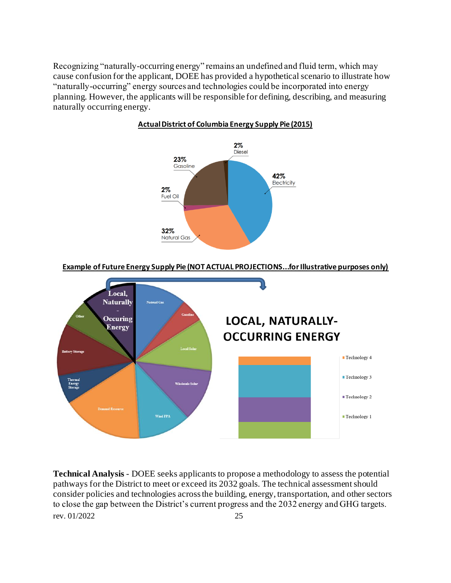Recognizing "naturally-occurring energy" remains an undefined and fluid term, which may cause confusion for the applicant, DOEE has provided a hypothetical scenario to illustrate how "naturally-occurring" energy sources and technologies could be incorporated into energy planning. However, the applicants will be responsible for defining, describing, and measuring naturally occurring energy.



#### **Actual District of Columbia Energy Supply Pie (2015)**

**Example of Future Energy Supply Pie (NOT ACTUAL PROJECTIONS...for Illustrative purposes only)**



rev. 01/2022 25 **Technical Analysis** - DOEE seeks applicants to propose a methodology to assess the potential pathways for the District to meet or exceed its 2032 goals. The technical assessment should consider policies and technologies across the building, energy, transportation, and other sectors to close the gap between the District's current progress and the 2032 energy and GHG targets.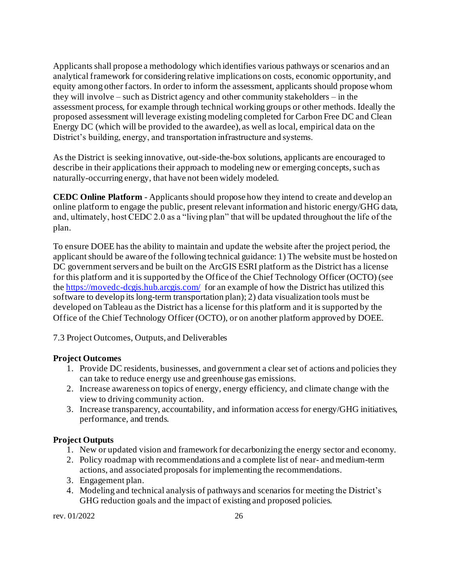Applicants shall propose a methodology which identifies various pathways or scenarios and an analytical framework for considering relative implications on costs, economic opportunity, and equity among other factors. In order to inform the assessment, applicants should propose whom they will involve – such as District agency and other community stakeholders – in the assessment process, for example through technical working groups or other methods. Ideally the proposed assessment will leverage existing modeling completed for Carbon Free DC and Clean Energy DC (which will be provided to the awardee), as well as local, empirical data on the District's building, energy, and transportation infrastructure and systems.

As the District is seeking innovative, out-side-the-box solutions, applicants are encouraged to describe in their applications their approach to modeling new or emerging concepts, such as naturally-occurring energy, that have not been widely modeled.

**CEDC Online Platform** - Applicants should propose how they intend to create and develop an online platform to engage the public, present relevant information and historic energy/GHG data, and, ultimately, host CEDC 2.0 as a "living plan" that will be updated throughout the life of the plan.

To ensure DOEE has the ability to maintain and update the website after the project period, the applicant should be aware of the following technical guidance: 1) The website must be hosted on DC government servers and be built on the ArcGIS ESRI platform as the District has a license for this platform and it is supported by the Office of the Chief Technology Officer (OCTO) (see th[e https://movedc-dcgis.hub.arcgis.com/](https://movedc-dcgis.hub.arcgis.com/) for an example of how the District has utilized this software to develop its long-term transportation plan); 2) data visualization tools must be developed on Tableau as the District has a license for this platform and it is supported by the Office of the Chief Technology Officer (OCTO), or on another platform approved by DOEE.

<span id="page-25-0"></span>7.3 Project Outcomes, Outputs, and Deliverables

## **Project Outcomes**

- 1. Provide DC residents, businesses, and government a clear set of actions and policies they can take to reduce energy use and greenhouse gas emissions.
- 2. Increase awareness on topics of energy, energy efficiency, and climate change with the view to driving community action.
- 3. Increase transparency, accountability, and information access for energy/GHG initiatives, performance, and trends.

## **Project Outputs**

- 1. New or updated vision and framework for decarbonizing the energy sector and economy.
- 2. Policy roadmap with recommendations and a complete list of near- and medium-term actions, and associated proposals for implementing the recommendations.
- 3. Engagement plan.
- 4. Modeling and technical analysis of pathways and scenarios for meeting the District's GHG reduction goals and the impact of existing and proposed policies.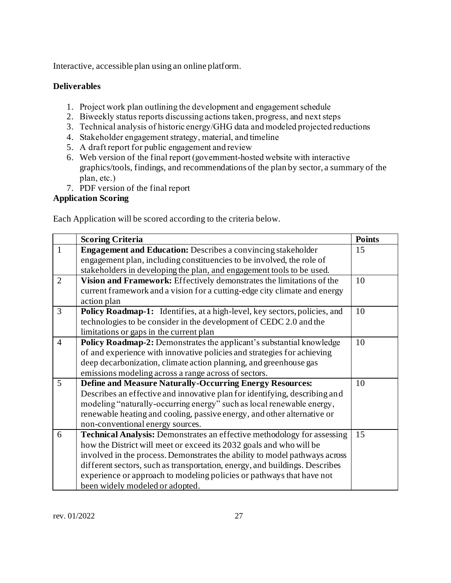Interactive, accessible plan using an online platform.

## **Deliverables**

- 1. Project work plan outlining the development and engagement schedule
- 2. Biweekly status reports discussing actions taken, progress, and next steps
- 3. Technical analysis of historic energy/GHG data and modeled projected reductions
- 4. Stakeholder engagement strategy, material, and timeline
- 5. A draft report for public engagement and review
- 6. Web version of the final report (government-hosted website with interactive graphics/tools, findings, and recommendations of the plan by sector, a summary of the plan, etc.)
- 7. PDF version of the final report

## **Application Scoring**

Each Application will be scored according to the criteria below.

|                | <b>Scoring Criteria</b>                                                        | <b>Points</b> |
|----------------|--------------------------------------------------------------------------------|---------------|
| $\mathbf{1}$   | <b>Engagement and Education:</b> Describes a convincing stakeholder            | 15            |
|                | engagement plan, including constituencies to be involved, the role of          |               |
|                | stakeholders in developing the plan, and engagement tools to be used.          |               |
| $\overline{2}$ | Vision and Framework: Effectively demonstrates the limitations of the          | 10            |
|                | current framework and a vision for a cutting-edge city climate and energy      |               |
|                | action plan                                                                    |               |
| 3              | Policy Roadmap-1: Identifies, at a high-level, key sectors, policies, and      | 10            |
|                | technologies to be consider in the development of CEDC 2.0 and the             |               |
|                | limitations or gaps in the current plan                                        |               |
| $\overline{4}$ | Policy Roadmap-2: Demonstrates the applicant's substantial knowledge           | 10            |
|                | of and experience with innovative policies and strategies for achieving        |               |
|                | deep decarbonization, climate action planning, and greenhouse gas              |               |
|                | emissions modeling across a range across of sectors.                           |               |
| 5              | <b>Define and Measure Naturally-Occurring Energy Resources:</b>                | 10            |
|                | Describes an effective and innovative plan for identifying, describing and     |               |
|                | modeling "naturally-occurring energy" such as local renewable energy,          |               |
|                | renewable heating and cooling, passive energy, and other alternative or        |               |
|                | non-conventional energy sources.                                               |               |
| 6              | <b>Technical Analysis:</b> Demonstrates an effective methodology for assessing | 15            |
|                | how the District will meet or exceed its 2032 goals and who will be            |               |
|                | involved in the process. Demonstrates the ability to model pathways across     |               |
|                | different sectors, such as transportation, energy, and buildings. Describes    |               |
|                | experience or approach to modeling policies or pathways that have not          |               |
|                | been widely modeled or adopted.                                                |               |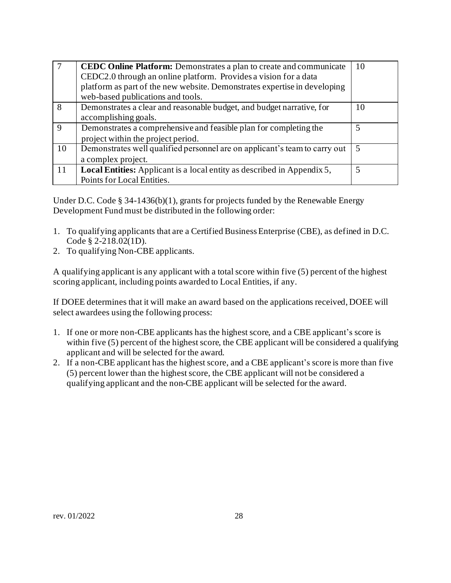|             | <b>CEDC Online Platform:</b> Demonstrates a plan to create and communicate<br>CEDC2.0 through an online platform. Provides a vision for a data<br>platform as part of the new website. Demonstrates expertise in developing<br>web-based publications and tools. | 10 |
|-------------|------------------------------------------------------------------------------------------------------------------------------------------------------------------------------------------------------------------------------------------------------------------|----|
| 8           | Demonstrates a clear and reasonable budget, and budget narrative, for<br>accomplishing goals.                                                                                                                                                                    | 10 |
| $\mathbf Q$ | Demonstrates a comprehensive and feasible plan for completing the<br>project within the project period.                                                                                                                                                          | 5  |
| 10          | Demonstrates well qualified personnel are on applicant's team to carry out<br>a complex project.                                                                                                                                                                 | -5 |
| 11          | <b>Local Entities:</b> Applicant is a local entity as described in Appendix 5,<br>Points for Local Entities.                                                                                                                                                     | 5  |

Under D.C. Code § 34-1436(b)(1), grants for projects funded by the Renewable Energy Development Fund must be distributed in the following order:

- 1. To qualifying applicants that are a Certified BusinessEnterprise (CBE), as defined in D.C. Code § 2-218.02(1D).
- 2. To qualifying Non-CBE applicants.

A qualifying applicant is any applicant with a totalscore within five (5) percent of the highest scoring applicant, including points awarded to Local Entities, if any.

If DOEE determines that it will make an award based on the applications received, DOEE will select awardees using the following process:

- 1. If one or more non-CBE applicants has the highest score, and a CBE applicant's score is within five (5) percent of the highest score, the CBE applicant will be considered a qualifying applicant and will be selected for the award.
- 2. If a non-CBE applicant has the highest score, and a CBE applicant's score is more than five (5) percent lower than the highest score, the CBE applicant will not be considered a qualifying applicant and the non-CBE applicant will be selected for the award.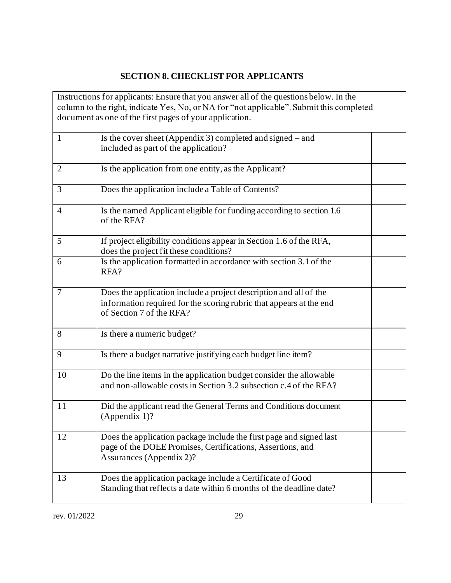# **SECTION 8. CHECKLIST FOR APPLICANTS**

<span id="page-28-0"></span>

|                | Instructions for applicants: Ensure that you answer all of the questions below. In the   |  |
|----------------|------------------------------------------------------------------------------------------|--|
|                | column to the right, indicate Yes, No, or NA for "not applicable". Submit this completed |  |
|                | document as one of the first pages of your application.                                  |  |
| $\mathbf{1}$   | Is the cover sheet (Appendix 3) completed and signed $-$ and                             |  |
|                | included as part of the application?                                                     |  |
|                |                                                                                          |  |
| $\overline{2}$ | Is the application from one entity, as the Applicant?                                    |  |
| 3              | Does the application include a Table of Contents?                                        |  |
| $\overline{4}$ | Is the named Applicant eligible for funding according to section 1.6                     |  |
|                | of the RFA?                                                                              |  |
| 5              | If project eligibility conditions appear in Section 1.6 of the RFA,                      |  |
|                | does the project fit these conditions?                                                   |  |
| 6              | Is the application formatted in accordance with section 3.1 of the                       |  |
|                | RFA?                                                                                     |  |
| $\overline{7}$ | Does the application include a project description and all of the                        |  |
|                | information required for the scoring rubric that appears at the end                      |  |
|                | of Section 7 of the RFA?                                                                 |  |
| 8              | Is there a numeric budget?                                                               |  |
|                |                                                                                          |  |
| 9              | Is there a budget narrative justifying each budget line item?                            |  |
| 10             | Do the line items in the application budget consider the allowable                       |  |
|                | and non-allowable costs in Section 3.2 subsection c.4 of the RFA?                        |  |
|                |                                                                                          |  |
| 11             | Did the applicant read the General Terms and Conditions document                         |  |
|                | (Appendix 1)?                                                                            |  |
| 12             | Does the application package include the first page and signed last                      |  |
|                | page of the DOEE Promises, Certifications, Assertions, and                               |  |
|                | <b>Assurances</b> (Appendix 2)?                                                          |  |
|                |                                                                                          |  |
| 13             | Does the application package include a Certificate of Good                               |  |
|                | Standing that reflects a date within 6 months of the deadline date?                      |  |
|                |                                                                                          |  |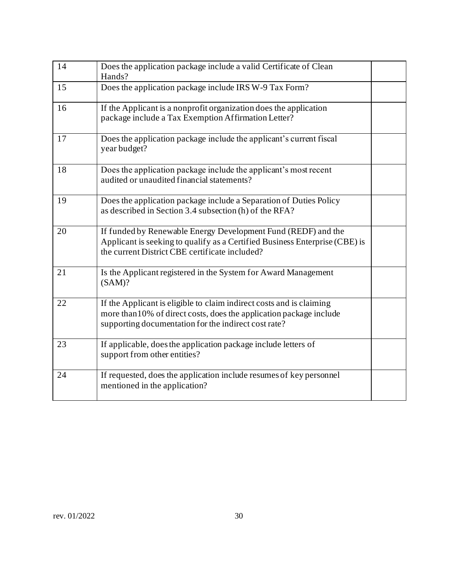| 14 | Does the application package include a valid Certificate of Clean<br>Hands?                                                                                                                         |  |
|----|-----------------------------------------------------------------------------------------------------------------------------------------------------------------------------------------------------|--|
| 15 | Does the application package include IRS W-9 Tax Form?                                                                                                                                              |  |
| 16 | If the Applicant is a nonprofit organization does the application<br>package include a Tax Exemption Affirmation Letter?                                                                            |  |
| 17 | Does the application package include the applicant's current fiscal<br>year budget?                                                                                                                 |  |
| 18 | Does the application package include the applicant's most recent<br>audited or unaudited financial statements?                                                                                      |  |
| 19 | Does the application package include a Separation of Duties Policy<br>as described in Section 3.4 subsection (h) of the RFA?                                                                        |  |
| 20 | If funded by Renewable Energy Development Fund (REDF) and the<br>Applicant is seeking to qualify as a Certified Business Enterprise (CBE) is<br>the current District CBE certificate included?      |  |
| 21 | Is the Applicant registered in the System for Award Management<br>(SAM)?                                                                                                                            |  |
| 22 | If the Applicant is eligible to claim indirect costs and is claiming<br>more than 10% of direct costs, does the application package include<br>supporting documentation for the indirect cost rate? |  |
| 23 | If applicable, does the application package include letters of<br>support from other entities?                                                                                                      |  |
| 24 | If requested, does the application include resumes of key personnel<br>mentioned in the application?                                                                                                |  |